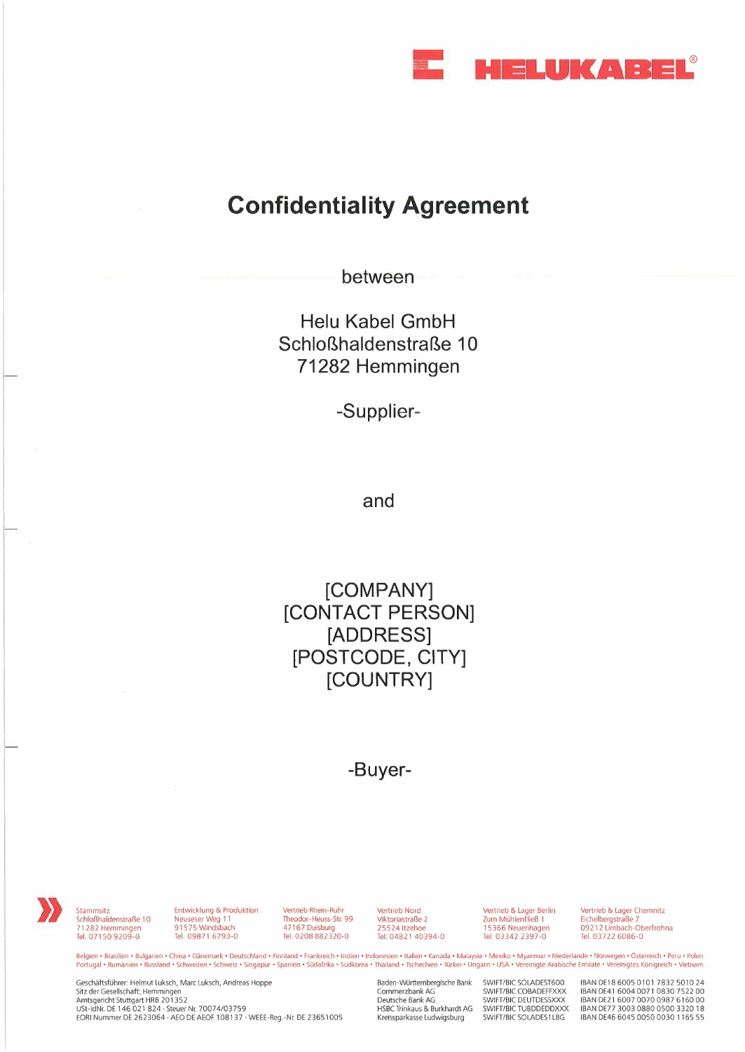

## **Confidentiality Agreement**

**between** 

**Helu Kabel GmbH Schloßhaldenstraße 10 71282 Hemmingen** 

**-Supplier-**

**and** 

**[COMPANY] [CONTACT PERSON] [ADDRESS] [POSTCODE, CITY] [COUNTRY]** 

**-Buyer-** 

Stammsitz<br>
Schloßhaldenstraße 10<br>
71282 Hemmingen 71 282 Hemmingen Tel. 071 50 9209-0

Entwicklung & Produktion Neuseser Weg 11 915 75 Windsbach Tel. 09871 6793-0

Vertrieb Rhein-Ruhr Theodor-Heuss-Str. 99 4 716 7 Duisburg Tel. 0208 882320-0

Vertrieb Nord Viktoriastraße 2 25524 Itzehoe Tel. 04821 40394-0 Vertrieb & Lager Berlin Zum Mühlenfließ 1 15366 Neuenhagen Tel. 03342 2397-0

Vertrieb & Lager Chemnitz Eichelbergstraße 7 09212 Limbach-Oberfrohna Tel. 03722 6086-0

**Belgien • Brasilien • Bulgarien • China • Dänemark • Deutschland • Finnland • Frankreich • Indien • Indonesien • Italien • Kanada • Malaysia • Mexiko • Myanmar • Niederlande • Norwegen • Österreich • Peru • Polen Portugal • Rumänien • Russland • Schweden • Schweiz • Singapur • Spanien • Südafrika • Südkorea • Thailand • Tschechien • Ttirkei • Ungarn • USA • Vereinigte Arabische Emirate • Vereinigtes Königreich • Vietnam** 

Geschäftsführer: Helmut Luksch, Marc Luksch, Andreas Hoppe Sitz der Gesellschaft: Hemmingen<br>Amtsgericht Stuttgart HRB 201352<br>USt-IdNr. DE 146 021 824 · Steuer Nr. 70074/03759 EORI Nummer DE 2623064 AEO DE AEOF 108137 WEEE-Reg.-Nr. DE 23651005 Baden-Württembergische Bank Commerzbank AG Deutsche Bank AG HSBC Trinkaus & Burkhardt AG Kreissparkasse Ludwigsburg

SWIFT/BIC SOLADEST600 SWIFT/BIC COBADEFFXXX SWIFT/BIC DEUTDESSXXX SWIFT/BIC TUBDDEDDXXX SWIFT/BIC SOLADES1LBG

IBAN DEl 8 6005 0101 7832 5010 24 IBAN DE41 6004 0071 0830 7522 00 IBAN DE21 6007 0070 0987 6160 00 IBAN DE77 3003 0880 0500 3320 18 IBAN DE46 6045 0050 0030 1165 55